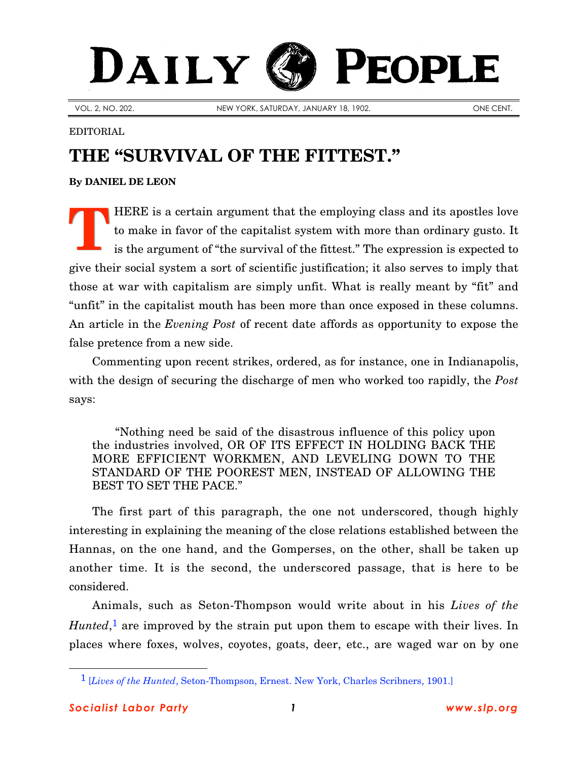## DAILY **PEOPLE**

VOL. 2, NO. 202. NEW YORK, SATURDAY, JANUARY 18, 1902. ONE CENT.

## EDITORIAL

## **THE "SURVIVAL OF THE FITTEST."**

**By [DANIEL DE LEON](http://slp.org/De_Leon.htm)**

HERE is a certain argument that the employing class and its apostles love to make in favor of the capitalist system with more than ordinary gusto. It is the argument of "the survival of the fittest." The expression is expected to give their social system a sort of scientific justification; it also serves to imply that those at war with capitalism are simply unfit. What is really meant by "fit" and "unfit" in the capitalist mouth has been more than once exposed in these columns. An article in the *Evening Post* of recent date affords as opportunity to expose the false pretence from a new side. **T**

Commenting upon recent strikes, ordered, as for instance, one in Indianapolis, with the design of securing the discharge of men who worked too rapidly, the *Post* says:

"Nothing need be said of the disastrous influence of this policy upon the industries involved, OR OF ITS EFFECT IN HOLDING BACK THE MORE EFFICIENT WORKMEN, AND LEVELING DOWN TO THE STANDARD OF THE POOREST MEN, INSTEAD OF ALLOWING THE BEST TO SET THE PACE."

The first part of this paragraph, the one not underscored, though highly interesting in explaining the meaning of the close relations established between the Hannas, on the one hand, and the Gomperses, on the other, shall be taken up another time. It is the second, the underscored passage, that is here to be considered.

Animals, such as Seton-Thompson would write about in his *Lives of the Hunted*,<sup>1</sup> are improved by the strain put upon them to escape with their lives. In places where foxes, wolves, coyotes, goats, deer, etc., are waged war on by one

 $\overline{a}$ 

<sup>1</sup> [*Lives of the Hunted*, Seton-Thompson, Ernest. New York, Charles Scribners, 1901.]